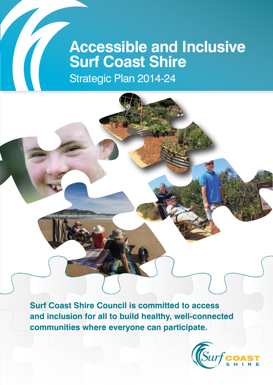# **Accessible and Inclusive Surf Coast Shire**

Strategic Plan 2014-24

**Surf Coast Shire Council is committed to access and inclusion for all to build healthy, well-connected communities where everyone can participate.**

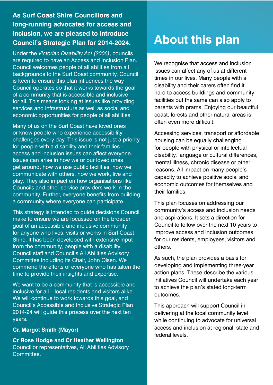### **As Surf Coast Shire Councillors and long-running advocates for access and inclusion, we are pleased to introduce Council's Strategic Plan for 2014-2024.**

Under the *Victorian Disability Act (2006)*, councils are required to have an Access and Inclusion Plan. Council welcomes people of all abilities from all backgrounds to the Surf Coast community. Council is keen to ensure this plan influences the way Council operates so that it works towards the goal of a community that is accessible and inclusive for all. This means looking at issues like providing services and infrastructure as well as social and economic opportunities for people of all abilities.

Many of us on the Surf Coast have loved ones or know people who experience accessibility challenges every day. This issue is not just a priority for people with a disability and their families access and inclusion issues can affect everyone. Issues can arise in how we or our loved ones get around, how we use public facilities, how we communicate with others, how we work, live and play. They also impact on how organisations like Councils and other service providers work in the community. Further, everyone benefits from building a community where everyone can participate.

This strategy is intended to guide decisions Council make to ensure we are focussed on the broader goal of an accessible and inclusive community for anyone who lives, visits or works in Surf Coast Shire. It has been developed with extensive input from the community, people with a disability, Council staff and Council's All Abilities Advisory Committee including its Chair, John Olsen. We commend the efforts of everyone who has taken the time to provide their insights and expertise.

We want to be a community that is accessible and inclusive for all – local residents and visitors alike. We will continue to work towards this goal, and Council's Accessible and Inclusive Strategic Plan 2014-24 will guide this process over the next ten years.

#### **Cr. Margot Smith (Mayor)**

**Cr Rose Hodge and Cr Heather Wellington**  Councillor representatives, All Abilities Advisory Committee.

## **About this plan**

We recognise that access and inclusion issues can affect any of us at different times in our lives. Many people with a disability and their carers often find it hard to access buildings and community facilities but the same can also apply to parents with prams. Enjoying our beautiful coast, forests and other natural areas is often even more difficult.

Accessing services, transport or affordable housing can be equally challenging for people with physical or intellectual disability, language or cultural differences, mental illness, chronic disease or other reasons. All impact on many people's capacity to achieve positive social and economic outcomes for themselves and their families.

This plan focuses on addressing our community's access and inclusion needs and aspirations. It sets a direction for Council to follow over the next 10 years to improve access and inclusion outcomes for our residents, employees, visitors and others.

As such, the plan provides a basis for developing and implementing three-year action plans. These describe the various initiatives Council will undertake each year to achieve the plan's stated long-term outcomes.

This approach will support Council in delivering at the local community level while continuing to advocate for universal access and inclusion at regional, state and federal levels.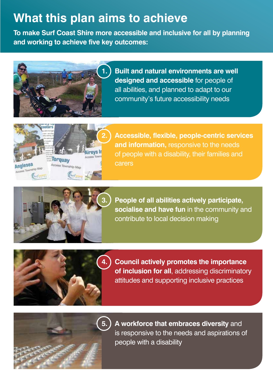## **What this plan aims to achieve**

**To make Surf Coast Shire more accessible and inclusive for all by planning and working to achieve five key outcomes:** 



**1. Built and natural environments are well designed and accessible** for people of all abilities, and planned to adapt to our community's future accessibility needs



**2. Accessible, flexible, people-centric services and information,** responsive to the needs of people with a disability, their families and carers



**3. People of all abilities actively participate, socialise and have fun** in the community and contribute to local decision making



**4. Council actively promotes the importance of inclusion for all**, addressing discriminatory attitudes and supporting inclusive practices



**5. A workforce that embraces diversity** and is responsive to the needs and aspirations of people with a disability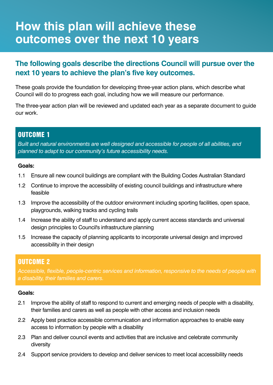## **How this plan will achieve these outcomes over the next 10 years**

### **The following goals describe the directions Council will pursue over the next 10 years to achieve the plan's five key outcomes.**

These goals provide the foundation for developing three-year action plans, which describe what Council will do to progress each goal, including how we will measure our performance.

The three-year action plan will be reviewed and updated each year as a separate document to guide our work.

#### OutcOme 1

*Built and natural environments are well designed and accessible for people of all abilities, and planned to adapt to our community's future accessibility needs.*

#### **Goals:**

- 1.1 Ensure all new council buildings are compliant with the Building Codes Australian Standard
- 1.2 Continue to improve the accessibility of existing council buildings and infrastructure where feasible
- 1.3 Improve the accessibility of the outdoor environment including sporting facilities, open space, playgrounds, walking tracks and cycling trails
- 1.4 Increase the ability of staff to understand and apply current access standards and universal design principles to Council's infrastructure planning
- 1.5 Increase the capacity of planning applicants to incorporate universal design and improved accessibility in their design

#### OutcOme 2

*Accessible, flexible, people-centric services and information, responsive to the needs of people with a disability, their families and carers.*

#### **Goals:**

- 2.1 Improve the ability of staff to respond to current and emerging needs of people with a disability, their families and carers as well as people with other access and inclusion needs
- 2.2 Apply best practice accessible communication and information approaches to enable easy access to information by people with a disability
- 2.3 Plan and deliver council events and activities that are inclusive and celebrate community diversity
- 2.4 Support service providers to develop and deliver services to meet local accessibility needs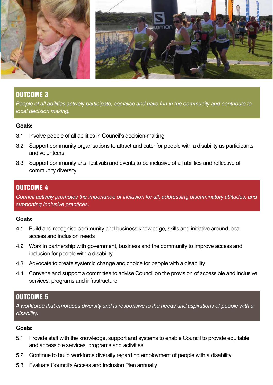

#### OutcOme 3

*People of all abilities actively participate, socialise and have fun in the community and contribute to local decision making.*

#### **Goals:**

- 3.1 Involve people of all abilities in Council's decision-making
- 3.2 Support community organisations to attract and cater for people with a disability as participants and volunteers
- 3.3 Support community arts, festivals and events to be inclusive of all abilities and reflective of community diversity

#### OutcOme 4

*Council actively promotes the importance of inclusion for all, addressing discriminatory attitudes, and supporting inclusive practices.*

#### **Goals:**

- 4.1 Build and recognise community and business knowledge, skills and initiative around local access and inclusion needs
- 4.2 Work in partnership with government, business and the community to improve access and inclusion for people with a disability
- 4.3 Advocate to create systemic change and choice for people with a disability
- 4.4 Convene and support a committee to advise Council on the provision of accessible and inclusive services, programs and infrastructure

#### OutcOme 5

*A workforce that embraces diversity and is responsive to the needs and aspirations of people with a disability***.**

#### **Goals:**

- 5.1 Provide staff with the knowledge, support and systems to enable Council to provide equitable and accessible services, programs and activities
- 5.2 Continue to build workforce diversity regarding employment of people with a disability
- 5.3 Evaluate Council's Access and Inclusion Plan annually